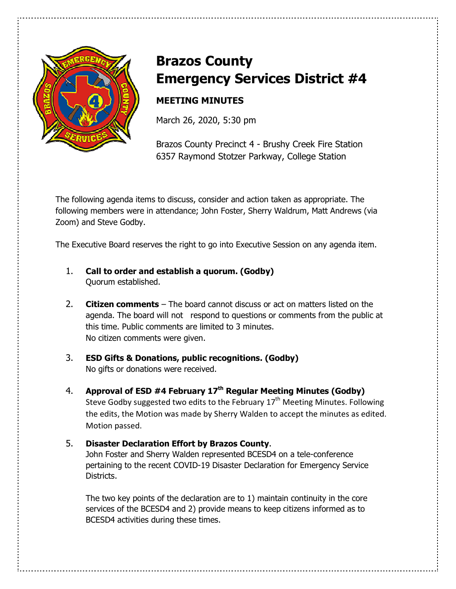

# **Brazos County Emergency Services District #4**

# **MEETING MINUTES**

March 26, 2020, 5:30 pm

Brazos County Precinct 4 - Brushy Creek Fire Station 6357 Raymond Stotzer Parkway, College Station

The following agenda items to discuss, consider and action taken as appropriate. The following members were in attendance; John Foster, Sherry Waldrum, Matt Andrews (via Zoom) and Steve Godby.

The Executive Board reserves the right to go into Executive Session on any agenda item.

- 1. **Call to order and establish a quorum. (Godby)** Quorum established.
- 2. **Citizen comments** The board cannot discuss or act on matters listed on the agenda. The board will not respond to questions or comments from the public at this time. Public comments are limited to 3 minutes. No citizen comments were given.
- 3. **ESD Gifts & Donations, public recognitions. (Godby)** No gifts or donations were received.
- 4. **Approval of ESD #4 February 17th Regular Meeting Minutes (Godby)** Steve Godby suggested two edits to the February  $17<sup>th</sup>$  Meeting Minutes. Following the edits, the Motion was made by Sherry Walden to accept the minutes as edited. Motion passed.
- 5. **Disaster Declaration Effort by Brazos County**. John Foster and Sherry Walden represented BCESD4 on a tele-conference pertaining to the recent COVID-19 Disaster Declaration for Emergency Service Districts.

 The two key points of the declaration are to 1) maintain continuity in the core services of the BCESD4 and 2) provide means to keep citizens informed as to BCESD4 activities during these times.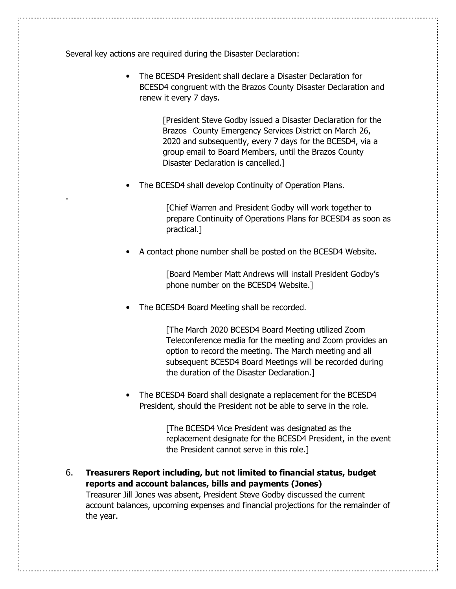Several key actions are required during the Disaster Declaration:

.

• The BCESD4 President shall declare a Disaster Declaration for BCESD4 congruent with the Brazos County Disaster Declaration and renew it every 7 days.

> [President Steve Godby issued a Disaster Declaration for the Brazos County Emergency Services District on March 26, 2020 and subsequently, every 7 days for the BCESD4, via a group email to Board Members, until the Brazos County Disaster Declaration is cancelled.]

The BCESD4 shall develop Continuity of Operation Plans.

 [Chief Warren and President Godby will work together to prepare Continuity of Operations Plans for BCESD4 as soon as practical.]

• A contact phone number shall be posted on the BCESD4 Website.

 [Board Member Matt Andrews will install President Godby's phone number on the BCESD4 Website.]

The BCESD4 Board Meeting shall be recorded.

 [The March 2020 BCESD4 Board Meeting utilized Zoom Teleconference media for the meeting and Zoom provides an option to record the meeting. The March meeting and all subsequent BCESD4 Board Meetings will be recorded during the duration of the Disaster Declaration.]

• The BCESD4 Board shall designate a replacement for the BCESD4 President, should the President not be able to serve in the role.

> [The BCESD4 Vice President was designated as the replacement designate for the BCESD4 President, in the event the President cannot serve in this role.]

6. **Treasurers Report including, but not limited to financial status, budget reports and account balances, bills and payments (Jones)** 

Treasurer Jill Jones was absent, President Steve Godby discussed the current account balances, upcoming expenses and financial projections for the remainder of the year.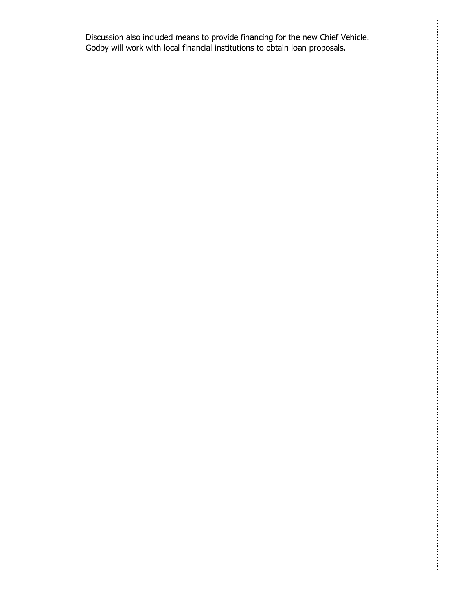Discussion also included means to provide financing for the new Chief Vehicle. Godby will work with local financial institutions to obtain loan proposals.